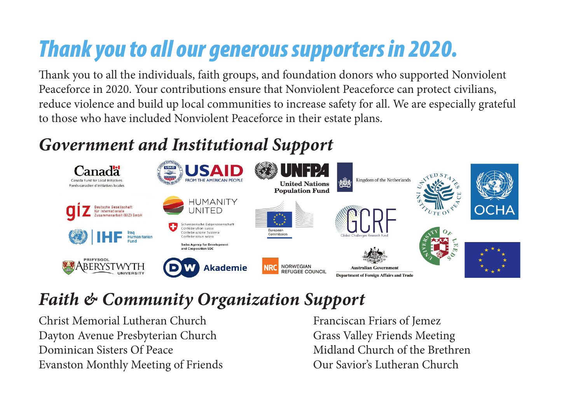# *Thank you to all our generous supporters in 2020.*

Thank you to all the individuals, faith groups, and foundation donors who supported Nonviolent Peaceforce in 2020. Your contributions ensure that Nonviolent Peaceforce can protect civilians, reduce violence and build up local communities to increase safety for all. We are especially grateful to those who have included Nonviolent Peaceforce in their estate plans.

# *Government and Institutional Support*



### *Faith & Community Organization Support*

Christ Memorial Lutheran Church Dayton Avenue Presbyterian Church Dominican Sisters Of Peace Evanston Monthly Meeting of Friends Franciscan Friars of Jemez Grass Valley Friends Meeting Midland Church of the Brethren Our Savior's Lutheran Church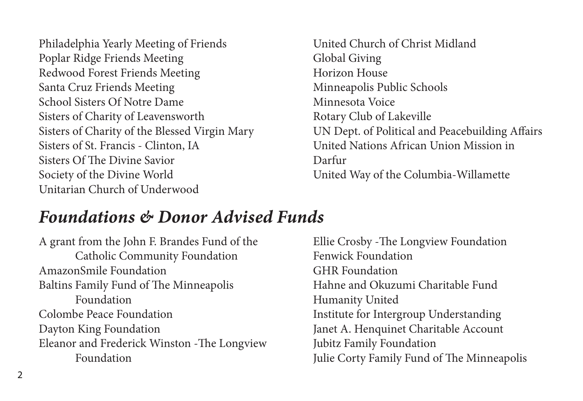Philadelphia Yearly Meeting of Friends Poplar Ridge Friends Meeting Redwood Forest Friends Meeting Santa Cruz Friends Meeting School Sisters Of Notre Dame Sisters of Charity of Leavensworth Sisters of Charity of the Blessed Virgin Mary Sisters of St. Francis - Clinton, IA Sisters Of The Divine Savior Society of the Divine World Unitarian Church of Underwood

United Church of Christ Midland Global Giving Horizon House Minneapolis Public Schools Minnesota Voice Rotary Club of Lakeville UN Dept. of Political and Peacebuilding Affairs United Nations African Union Mission in Darfur United Way of the Columbia-Willamette

### *Foundations & Donor Advised Funds*

A grant from the John F. Brandes Fund of the Catholic Community Foundation AmazonSmile Foundation Baltins Family Fund of The Minneapolis Foundation Colombe Peace Foundation Dayton King Foundation Eleanor and Frederick Winston -The Longview Foundation

Ellie Crosby -The Longview Foundation Fenwick Foundation GHR Foundation Hahne and Okuzumi Charitable Fund Humanity United Institute for Intergroup Understanding Janet A. Henquinet Charitable Account Jubitz Family Foundation Julie Corty Family Fund of The Minneapolis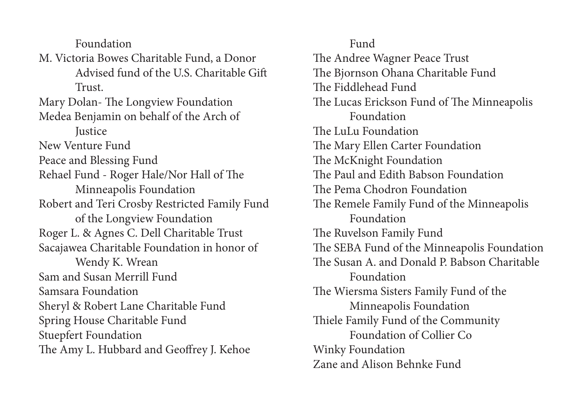Foundation

M. Victoria Bowes Charitable Fund, a Donor Advised fund of the U.S. Charitable Gift Trust.

Mary Dolan- The Longview Foundation Medea Benjamin on behalf of the Arch of

**Justice** 

New Venture Fund

Peace and Blessing Fund

Rehael Fund - Roger Hale/Nor Hall of The Minneapolis Foundation Robert and Teri Crosby Restricted Family Fund

of the Longview Foundation Roger L. & Agnes C. Dell Charitable Trust Sacajawea Charitable Foundation in honor of

Wendy K. Wrean Sam and Susan Merrill Fund Samsara Foundation Sheryl & Robert Lane Charitable Fund Spring House Charitable Fund Stuepfert Foundation The Amy L. Hubbard and Geoffrey J. Kehoe

Fund The Andree Wagner Peace Trust The Bjornson Ohana Charitable Fund The Fiddlehead Fund The Lucas Erickson Fund of The Minneapolis Foundation The LuLu Foundation The Mary Ellen Carter Foundation The McKnight Foundation The Paul and Edith Babson Foundation The Pema Chodron Foundation The Remele Family Fund of the Minneapolis Foundation The Ruvelson Family Fund The SEBA Fund of the Minneapolis Foundation The Susan A. and Donald P. Babson Charitable Foundation The Wiersma Sisters Family Fund of the Minneapolis Foundation Thiele Family Fund of the Community Foundation of Collier Co Winky Foundation Zane and Alison Behnke Fund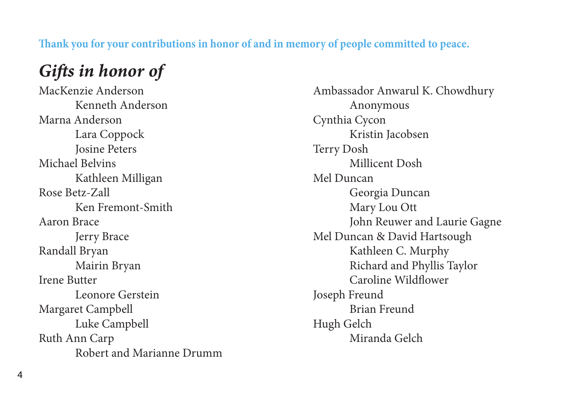#### **Thank you for your contributions in honor of and in memory of people committed to peace.**

### *Gifts in honor of*

MacKenzie Anderson Kenneth Anderson Marna Anderson Lara Coppock Josine Peters Michael Belvins Kathleen Milligan Rose Betz-Zall Ken Fremont-Smith Aaron Brace Jerry Brace Randall Bryan Mairin Bryan Irene Butter Leonore Gerstein Margaret Campbell Luke Campbell Ruth Ann Carp Robert and Marianne Drumm Ambassador Anwarul K. Chowdhury Anonymous Cynthia Cycon Kristin Jacobsen Terry Dosh Millicent Dosh Mel Duncan Georgia Duncan Mary Lou Ott John Reuwer and Laurie Gagne Mel Duncan & David Hartsough Kathleen C. Murphy Richard and Phyllis Taylor Caroline Wildflower Joseph Freund Brian Freund Hugh Gelch Miranda Gelch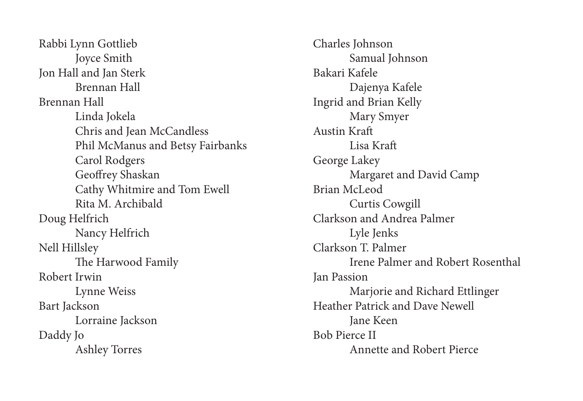Rabbi Lynn Gottlieb Joyce Smith Jon Hall and Jan Sterk Brennan Hall Brennan Hall Linda Jokela Chris and Jean McCandless Phil McManus and Betsy Fairbanks Carol Rodgers Geoffrey Shaskan Cathy Whitmire and Tom Ewell Rita M. Archibald Doug Helfrich Nancy Helfrich Nell Hillsley The Harwood Family Robert Irwin Lynne Weiss Bart Jackson Lorraine Jackson Daddy Jo Ashley Torres

Charles Johnson Samual Johnson Bakari Kafele Dajenya Kafele Ingrid and Brian Kelly Mary Smyer Austin Kraft Lisa Kraft George Lakey Margaret and David Camp Brian McLeod Curtis Cowgill Clarkson and Andrea Palmer Lyle Jenks Clarkson T. Palmer Irene Palmer and Robert Rosenthal Jan Passion Marjorie and Richard Ettlinger Heather Patrick and Dave Newell Jane Keen Bob Pierce II Annette and Robert Pierce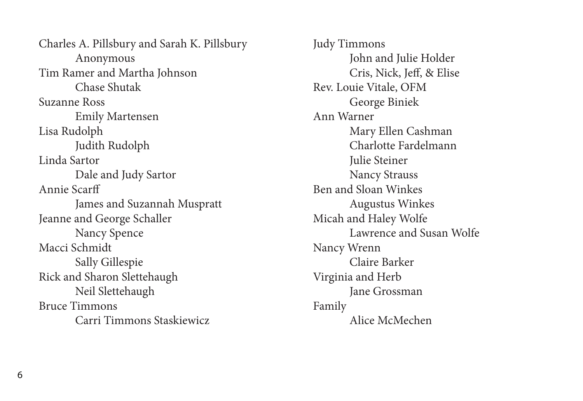Charles A. Pillsbury and Sarah K. Pillsbury Anonymous Tim Ramer and Martha Johnson Chase Shutak Suzanne Ross Emily Martensen Lisa Rudolph Judith Rudolph Linda Sartor Dale and Judy Sartor Annie Scarff James and Suzannah Muspratt Jeanne and George Schaller Nancy Spence Macci Schmidt Sally Gillespie Rick and Sharon Slettehaugh Neil Slettehaugh Bruce Timmons Carri Timmons Staskiewicz

Judy Timmons John and Julie Holder Cris, Nick, Jeff, & Elise Rev. Louie Vitale, OFM George Biniek Ann Warner Mary Ellen Cashman Charlotte Fardelmann Julie Steiner Nancy Strauss Ben and Sloan Winkes Augustus Winkes Micah and Haley Wolfe Lawrence and Susan Wolfe Nancy Wrenn Claire Barker Virginia and Herb Jane Grossman Family Alice McMechen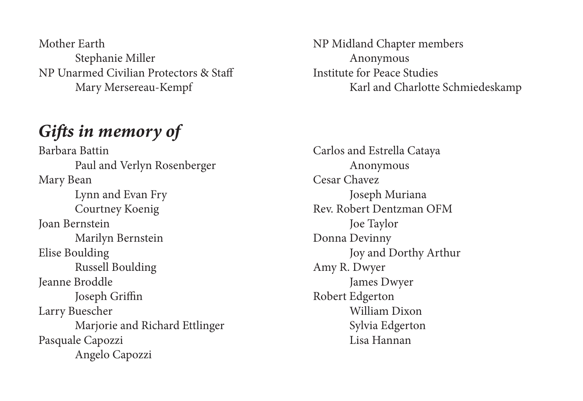Mother Earth Stephanie Miller NP Unarmed Civilian Protectors & Staff Mary Mersereau-Kempf

### *Gifts in memory of*

Barbara Battin Paul and Verlyn Rosenberger Mary Bean Lynn and Evan Fry Courtney Koenig Joan Bernstein Marilyn Bernstein Elise Boulding Russell Boulding Jeanne Broddle Joseph Griffin Larry Buescher Marjorie and Richard Ettlinger Pasquale Capozzi Angelo Capozzi

NP Midland Chapter members Anonymous Institute for Peace Studies Karl and Charlotte Schmiedeskamp

Carlos and Estrella Cataya Anonymous Cesar Chavez Joseph Muriana Rev. Robert Dentzman OFM Joe Taylor Donna Devinny Joy and Dorthy Arthur Amy R. Dwyer James Dwyer Robert Edgerton William Dixon Sylvia Edgerton Lisa Hannan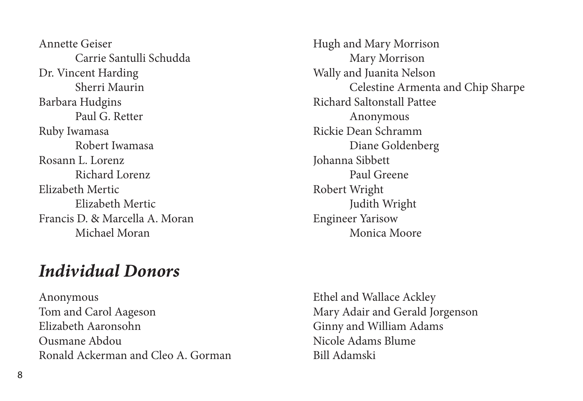Annette Geiser Carrie Santulli Schudda Dr. Vincent Harding Sherri Maurin Barbara Hudgins Paul G. Retter Ruby Iwamasa Robert Iwamasa Rosann L. Lorenz Richard Lorenz Elizabeth Mertic Elizabeth Mertic Francis D. & Marcella A. Moran Michael Moran

### *Individual Donors*

Anonymous Tom and Carol Aageson Elizabeth Aaronsohn Ousmane Abdou Ronald Ackerman and Cleo A. Gorman Hugh and Mary Morrison Mary Morrison Wally and Juanita Nelson Celestine Armenta and Chip Sharpe Richard Saltonstall Pattee Anonymous Rickie Dean Schramm Diane Goldenberg Johanna Sibbett Paul Greene Robert Wright Judith Wright Engineer Yarisow Monica Moore

Ethel and Wallace Ackley Mary Adair and Gerald Jorgenson Ginny and William Adams Nicole Adams Blume Bill Adamski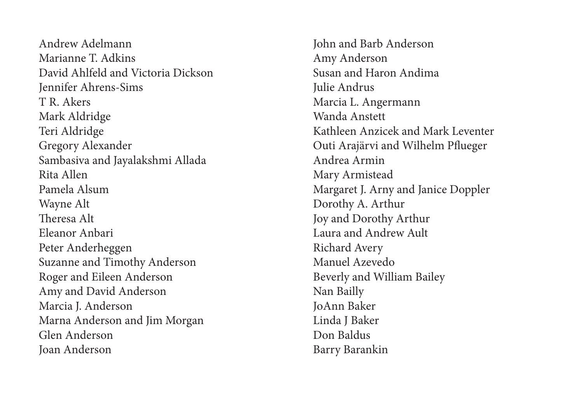Andrew Adelmann Marianne T. Adkins David Ahlfeld and Victoria Dickson Jennifer Ahrens-Sims T R. Akers Mark Aldridge Teri Aldridge Gregory Alexander Sambasiva and Jayalakshmi Allada Rita Allen Pamela Alsum Wayne Alt Theresa Alt Eleanor Anbari Peter Anderheggen Suzanne and Timothy Anderson Roger and Eileen Anderson Amy and David Anderson Marcia J. Anderson Marna Anderson and Jim Morgan Glen Anderson Joan Anderson

John and Barb Anderson Amy Anderson Susan and Haron Andima Julie Andrus Marcia L. Angermann Wanda Anstett Kathleen Anzicek and Mark Leventer Outi Arajärvi and Wilhelm Pflueger Andrea Armin Mary Armistead Margaret J. Arny and Janice Doppler Dorothy A. Arthur Joy and Dorothy Arthur Laura and Andrew Ault Richard Avery Manuel Azevedo Beverly and William Bailey Nan Bailly JoAnn Baker Linda J Baker Don Baldus Barry Barankin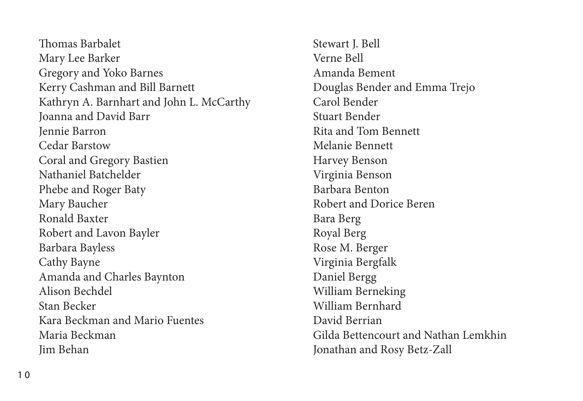Thomas Barbalet Mary Lee Barker Gregory and Yoko Barnes Kerry Cashman and Bill Barnett Kathryn A. Barnhart and John L. McCarthy Joanna and David Barr Jennie Barron Cedar Barstow Coral and Gregory Bastien Nathaniel Batchelder Phebe and Roger Baty Mary Baucher Ronald Baxter Robert and Lavon Bayler Barbara Bayless Cathy Bayne Amanda and Charles Baynton Alison Bechdel Stan Becker Kara Beckman and Mario Fuentes Maria Beckman Jim Behan

Stewart J. Bell Verne Bell Amanda Bement Douglas Bender and Emma Trejo Carol Bender Stuart Bender Rita and Tom Bennett Melanie Bennett Harvey Benson Virginia Benson Barbara Benton Robert and Dorice Beren Bara Berg Royal Berg Rose M. Berger Virginia Bergfalk Daniel Bergg William Berneking William Bernhard David Berrian Gilda Bettencourt and Nathan Lemkhin Jonathan and Rosy Betz-Zall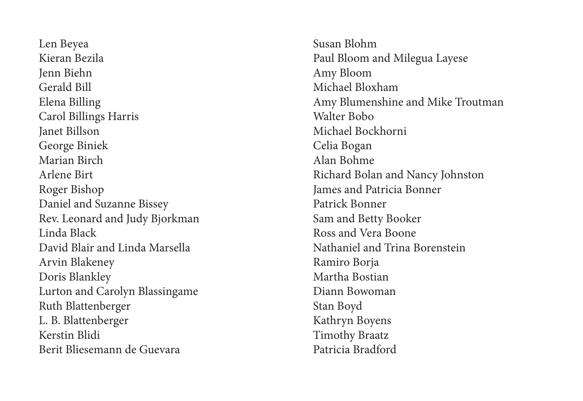Len Beyea Kieran Bezila Jenn Biehn Gerald Bill Elena Billing Carol Billings Harris Janet Billson George Biniek Marian Birch Arlene Birt Roger Bishop Daniel and Suzanne Bissey Rev. Leonard and Judy Bjorkman Linda Black David Blair and Linda Marsella Arvin Blakeney Doris Blankley Lurton and Carolyn Blassingame Ruth Blattenberger L. B. Blattenberger Kerstin Blidi Berit Bliesemann de Guevara

Susan Blohm Paul Bloom and Milegua Layese Amy Bloom Michael Bloxham Amy Blumenshine and Mike Troutman Walter Bobo Michael Bockhorni Celia Bogan Alan Bohme Richard Bolan and Nancy Johnston James and Patricia Bonner Patrick Bonner Sam and Betty Booker Ross and Vera Boone Nathaniel and Trina Borenstein Ramiro Borja Martha Bostian Diann Bowoman Stan Boyd Kathryn Boyens Timothy Braatz Patricia Bradford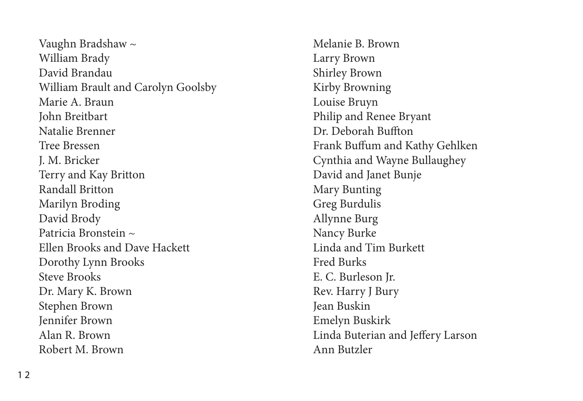Vaughn Bradshaw ~ William Brady David Brandau William Brault and Carolyn Goolsby Marie A. Braun John Breitbart Natalie Brenner Tree Bressen J. M. Bricker Terry and Kay Britton Randall Britton Marilyn Broding David Brody Patricia Bronstein ~ Ellen Brooks and Dave Hackett Dorothy Lynn Brooks Steve Brooks Dr. Mary K. Brown Stephen Brown Jennifer Brown Alan R. Brown Robert M. Brown

Melanie B. Brown Larry Brown Shirley Brown Kirby Browning Louise Bruyn Philip and Renee Bryant Dr. Deborah Buffton Frank Buffum and Kathy Gehlken Cynthia and Wayne Bullaughey David and Janet Bunje Mary Bunting Greg Burdulis Allynne Burg Nancy Burke Linda and Tim Burkett Fred Burks E. C. Burleson Jr. Rev. Harry J Bury Jean Buskin Emelyn Buskirk Linda Buterian and Jeffery Larson Ann Butzler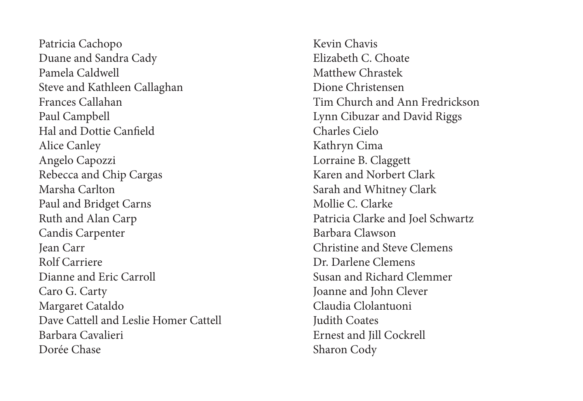Patricia Cachopo Duane and Sandra Cady Pamela Caldwell Steve and Kathleen Callaghan Frances Callahan Paul Campbell Hal and Dottie Canfield Alice Canley Angelo Capozzi Rebecca and Chip Cargas Marsha Carlton Paul and Bridget Carns Ruth and Alan Carp Candis Carpenter Jean Carr Rolf Carriere Dianne and Eric Carroll Caro G. Carty Margaret Cataldo Dave Cattell and Leslie Homer Cattell Barbara Cavalieri Dorée Chase

Kevin Chavis Elizabeth C. Choate Matthew Chrastek Dione Christensen Tim Church and Ann Fredrickson Lynn Cibuzar and David Riggs Charles Cielo Kathryn Cima Lorraine B. Claggett Karen and Norbert Clark Sarah and Whitney Clark Mollie C. Clarke Patricia Clarke and Joel Schwartz Barbara Clawson Christine and Steve Clemens Dr. Darlene Clemens Susan and Richard Clemmer Joanne and John Clever Claudia Clolantuoni Judith Coates Ernest and Jill Cockrell Sharon Cody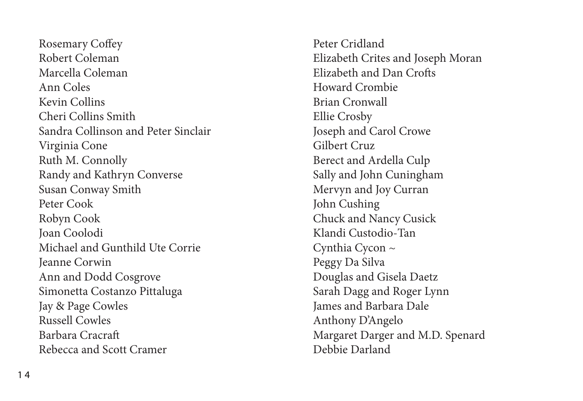Rosemary Coffey Robert Coleman Marcella Coleman Ann Coles Kevin Collins Cheri Collins Smith Sandra Collinson and Peter Sinclair Virginia Cone Ruth M. Connolly Randy and Kathryn Converse Susan Conway Smith Peter Cook Robyn Cook Joan Coolodi Michael and Gunthild Ute Corrie Jeanne Corwin Ann and Dodd Cosgrove Simonetta Costanzo Pittaluga Jay & Page Cowles Russell Cowles Barbara Cracraft Rebecca and Scott Cramer

Peter Cridland Elizabeth Crites and Joseph Moran Elizabeth and Dan Crofts Howard Crombie Brian Cronwall Ellie Crosby Joseph and Carol Crowe Gilbert Cruz Berect and Ardella Culp Sally and John Cuningham Mervyn and Joy Curran John Cushing Chuck and Nancy Cusick Klandi Custodio-Tan Cynthia Cycon ~ Peggy Da Silva Douglas and Gisela Daetz Sarah Dagg and Roger Lynn James and Barbara Dale Anthony D'Angelo Margaret Darger and M.D. Spenard Debbie Darland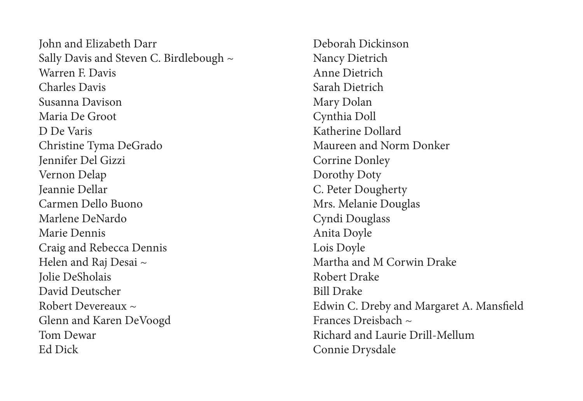John and Elizabeth Darr Sally Davis and Steven C. Birdlebough ~ Warren F. Davis Charles Davis Susanna Davison Maria De Groot D De Varis Christine Tyma DeGrado Jennifer Del Gizzi Vernon Delap Jeannie Dellar Carmen Dello Buono Marlene DeNardo Marie Dennis Craig and Rebecca Dennis Helen and Raj Desai ~ Jolie DeSholais David Deutscher Robert Devereaux ~ Glenn and Karen DeVoogd Tom Dewar Ed Dick

Deborah Dickinson Nancy Dietrich Anne Dietrich Sarah Dietrich Mary Dolan Cynthia Doll Katherine Dollard Maureen and Norm Donker Corrine Donley Dorothy Doty C. Peter Dougherty Mrs. Melanie Douglas Cyndi Douglass Anita Doyle Lois Doyle Martha and M Corwin Drake Robert Drake Bill Drake Edwin C. Dreby and Margaret A. Mansfield Frances Dreisbach  $\approx$ Richard and Laurie Drill-Mellum Connie Drysdale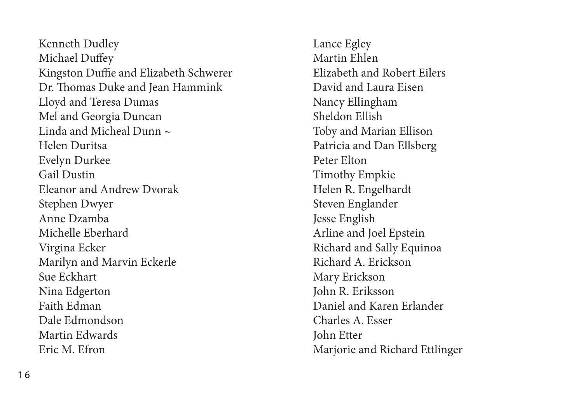Kenneth Dudley Michael Duffey Kingston Duffie and Elizabeth Schwerer Dr. Thomas Duke and Jean Hammink Lloyd and Teresa Dumas Mel and Georgia Duncan Linda and Micheal Dunn  $\sim$ Helen Duritsa Evelyn Durkee Gail Dustin Eleanor and Andrew Dvorak Stephen Dwyer Anne Dzamba Michelle Eberhard Virgina Ecker Marilyn and Marvin Eckerle Sue Eckhart Nina Edgerton Faith Edman Dale Edmondson Martin Edwards Eric M. Efron

Lance Egley Martin Ehlen Elizabeth and Robert Eilers David and Laura Eisen Nancy Ellingham Sheldon Ellish Toby and Marian Ellison Patricia and Dan Ellsberg Peter Elton Timothy Empkie Helen R. Engelhardt Steven Englander Jesse English Arline and Joel Epstein Richard and Sally Equinoa Richard A. Erickson Mary Erickson John R. Eriksson Daniel and Karen Erlander Charles A. Esser John Etter Marjorie and Richard Ettlinger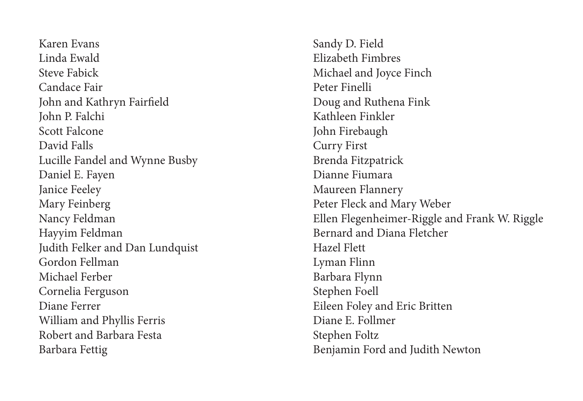Karen Evans Linda Ewald Steve Fabick Candace Fair John and Kathryn Fairfield John P. Falchi Scott Falcone David Falls Lucille Fandel and Wynne Busby Daniel E. Fayen Janice Feeley Mary Feinberg Nancy Feldman Hayyim Feldman Judith Felker and Dan Lundquist Gordon Fellman Michael Ferber Cornelia Ferguson Diane Ferrer William and Phyllis Ferris Robert and Barbara Festa Barbara Fettig

Sandy D. Field Elizabeth Fimbres Michael and Joyce Finch Peter Finelli Doug and Ruthena Fink Kathleen Finkler John Firebaugh Curry First Brenda Fitzpatrick Dianne Fiumara Maureen Flannery Peter Fleck and Mary Weber Ellen Flegenheimer-Riggle and Frank W. Riggle Bernard and Diana Fletcher Hazel Flett Lyman Flinn Barbara Flynn Stephen Foell Eileen Foley and Eric Britten Diane E. Follmer Stephen Foltz Benjamin Ford and Judith Newton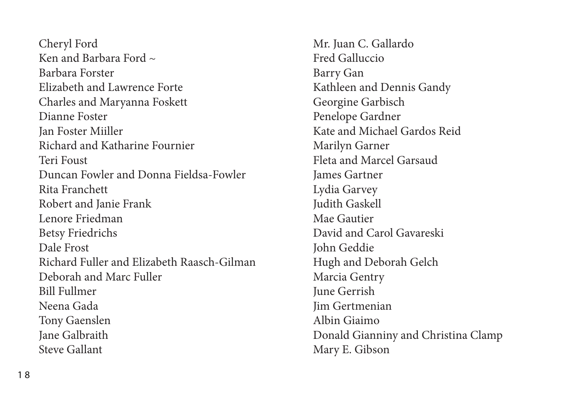Cheryl Ford Ken and Barbara Ford  $\sim$ Barbara Forster Elizabeth and Lawrence Forte Charles and Maryanna Foskett Dianne Foster Jan Foster Miiller Richard and Katharine Fournier Teri Foust Duncan Fowler and Donna Fieldsa-Fowler Rita Franchett Robert and Janie Frank Lenore Friedman Betsy Friedrichs Dale Frost Richard Fuller and Elizabeth Raasch-Gilman Deborah and Marc Fuller Bill Fullmer Neena Gada Tony Gaenslen Jane Galbraith Steve Gallant

Mr. Juan C. Gallardo Fred Galluccio Barry Gan Kathleen and Dennis Gandy Georgine Garbisch Penelope Gardner Kate and Michael Gardos Reid Marilyn Garner Fleta and Marcel Garsaud James Gartner Lydia Garvey Judith Gaskell Mae Gautier David and Carol Gavareski John Geddie Hugh and Deborah Gelch Marcia Gentry June Gerrish Jim Gertmenian Albin Giaimo Donald Gianniny and Christina Clamp Mary E. Gibson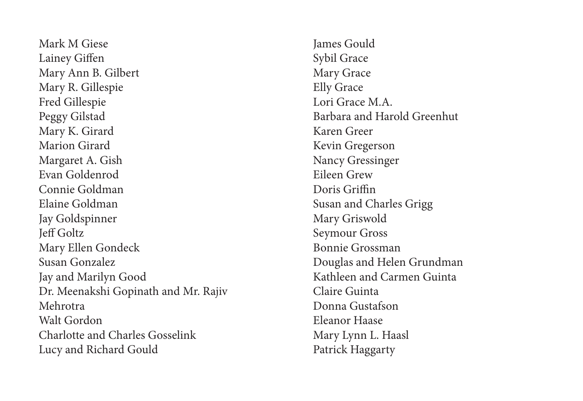Mark M Giese Lainey Giffen Mary Ann B. Gilbert Mary R. Gillespie Fred Gillespie Peggy Gilstad Mary K. Girard Marion Girard Margaret A. Gish Evan Goldenrod Connie Goldman Elaine Goldman Jay Goldspinner Jeff Goltz Mary Ellen Gondeck Susan Gonzalez Jay and Marilyn Good Dr. Meenakshi Gopinath and Mr. Rajiv Mehrotra Walt Gordon Charlotte and Charles Gosselink Lucy and Richard Gould

James Gould Sybil Grace Mary Grace Elly Grace Lori Grace M.A. Barbara and Harold Greenhut Karen Greer Kevin Gregerson Nancy Gressinger Eileen Grew Doris Griffin Susan and Charles Grigg Mary Griswold Seymour Gross Bonnie Grossman Douglas and Helen Grundman Kathleen and Carmen Guinta Claire Guinta Donna Gustafson Eleanor Haase Mary Lynn L. Haasl Patrick Haggarty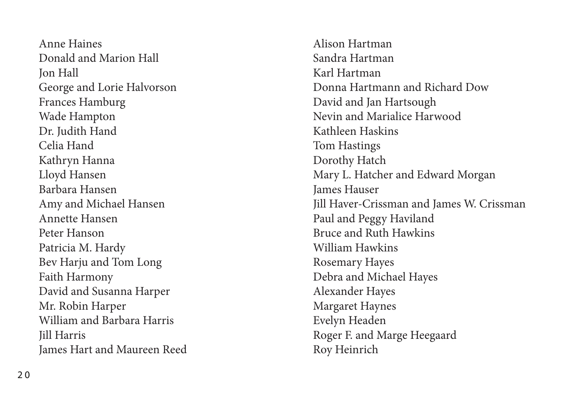Anne Haines Donald and Marion Hall Jon Hall George and Lorie Halvorson Frances Hamburg Wade Hampton Dr. Judith Hand Celia Hand Kathryn Hanna Lloyd Hansen Barbara Hansen Amy and Michael Hansen Annette Hansen Peter Hanson Patricia M. Hardy Bev Harju and Tom Long Faith Harmony David and Susanna Harper Mr. Robin Harper William and Barbara Harris Jill Harris James Hart and Maureen Reed Alison Hartman Sandra Hartman Karl Hartman Donna Hartmann and Richard Dow David and Jan Hartsough Nevin and Marialice Harwood Kathleen Haskins Tom Hastings Dorothy Hatch Mary L. Hatcher and Edward Morgan James Hauser Jill Haver-Crissman and James W. Crissman Paul and Peggy Haviland Bruce and Ruth Hawkins William Hawkins Rosemary Hayes Debra and Michael Hayes Alexander Hayes Margaret Haynes Evelyn Headen Roger F. and Marge Heegaard Roy Heinrich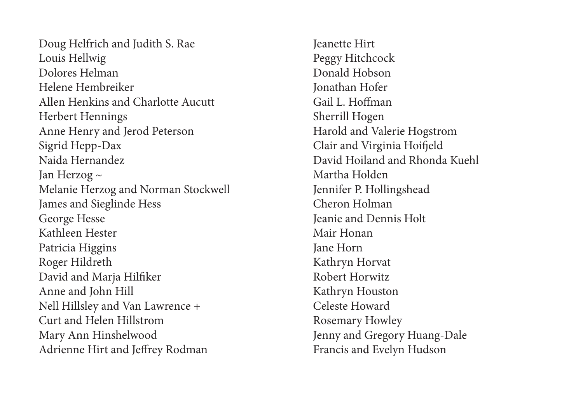Doug Helfrich and Judith S. Rae Louis Hellwig Dolores Helman Helene Hembreiker Allen Henkins and Charlotte Aucutt Herbert Hennings Anne Henry and Jerod Peterson Sigrid Hepp-Dax Naida Hernandez Jan Herzog ~ Melanie Herzog and Norman Stockwell James and Sieglinde Hess George Hesse Kathleen Hester Patricia Higgins Roger Hildreth David and Marja Hilfiker Anne and John Hill Nell Hillsley and Van Lawrence + Curt and Helen Hillstrom Mary Ann Hinshelwood Adrienne Hirt and Jeffrey Rodman

Jeanette Hirt Peggy Hitchcock Donald Hobson Jonathan Hofer Gail L. Hoffman Sherrill Hogen Harold and Valerie Hogstrom Clair and Virginia Hoifjeld David Hoiland and Rhonda Kuehl Martha Holden Jennifer P. Hollingshead Cheron Holman Jeanie and Dennis Holt Mair Honan Jane Horn Kathryn Horvat Robert Horwitz Kathryn Houston Celeste Howard Rosemary Howley Jenny and Gregory Huang-Dale Francis and Evelyn Hudson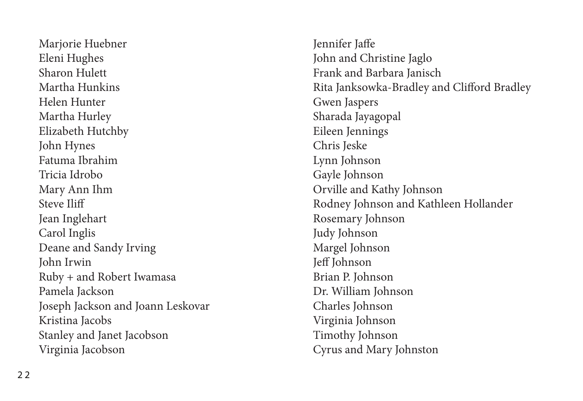Marjorie Huebner Eleni Hughes Sharon Hulett Martha Hunkins Helen Hunter Martha Hurley Elizabeth Hutchby John Hynes Fatuma Ibrahim Tricia Idrobo Mary Ann Ihm Steve Iliff Jean Inglehart Carol Inglis Deane and Sandy Irving John Irwin Ruby + and Robert Iwamasa Pamela Jackson Joseph Jackson and Joann Leskovar Kristina Jacobs Stanley and Janet Jacobson Virginia Jacobson

Jennifer Jaffe John and Christine Jaglo Frank and Barbara Janisch Rita Janksowka-Bradley and Clifford Bradley Gwen Jaspers Sharada Jayagopal Eileen Jennings Chris Jeske Lynn Johnson Gayle Johnson Orville and Kathy Johnson Rodney Johnson and Kathleen Hollander Rosemary Johnson Judy Johnson Margel Johnson Jeff Johnson Brian P. Johnson Dr. William Johnson Charles Johnson Virginia Johnson Timothy Johnson Cyrus and Mary Johnston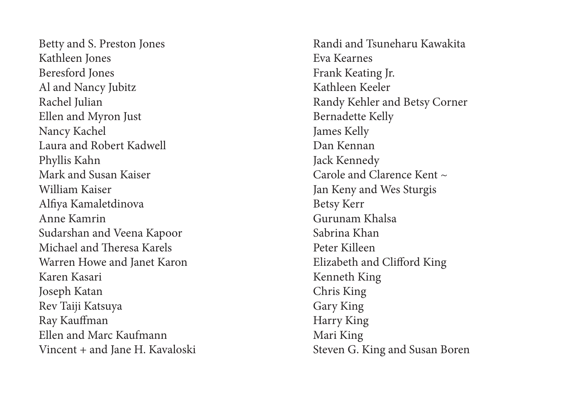Betty and S. Preston Jones Kathleen Jones Beresford Jones Al and Nancy Jubitz Rachel Julian Ellen and Myron Just Nancy Kachel Laura and Robert Kadwell Phyllis Kahn Mark and Susan Kaiser William Kaiser Alfiya Kamaletdinova Anne Kamrin Sudarshan and Veena Kapoor Michael and Theresa Karels Warren Howe and Janet Karon Karen Kasari Joseph Katan Rev Taiji Katsuya Ray Kauffman Ellen and Marc Kaufmann Vincent + and Jane H. Kavaloski Randi and Tsuneharu Kawakita Eva Kearnes Frank Keating Jr. Kathleen Keeler Randy Kehler and Betsy Corner Bernadette Kelly James Kelly Dan Kennan Jack Kennedy Carole and Clarence Kent  $\sim$ Jan Keny and Wes Sturgis Betsy Kerr Gurunam Khalsa Sabrina Khan Peter Killeen Elizabeth and Clifford King Kenneth King Chris King Gary King Harry King Mari King Steven G. King and Susan Boren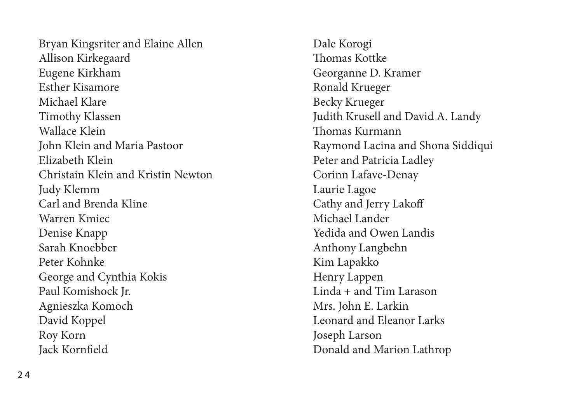Bryan Kingsriter and Elaine Allen Allison Kirkegaard Eugene Kirkham Esther Kisamore Michael Klare Timothy Klassen Wallace Klein John Klein and Maria Pastoor Elizabeth Klein Christain Klein and Kristin Newton Judy Klemm Carl and Brenda Kline Warren Kmiec Denise Knapp Sarah Knoebber Peter Kohnke George and Cynthia Kokis Paul Komishock Jr. Agnieszka Komoch David Koppel Roy Korn Jack Kornfield

Dale Korogi Thomas Kottke Georganne D. Kramer Ronald Krueger Becky Krueger Judith Krusell and David A. Landy Thomas Kurmann Raymond Lacina and Shona Siddiqui Peter and Patricia Ladley Corinn Lafave-Denay Laurie Lagoe Cathy and Jerry Lakoff Michael Lander Yedida and Owen Landis Anthony Langbehn Kim Lapakko Henry Lappen Linda + and Tim Larason Mrs. John E. Larkin Leonard and Eleanor Larks Joseph Larson Donald and Marion Lathrop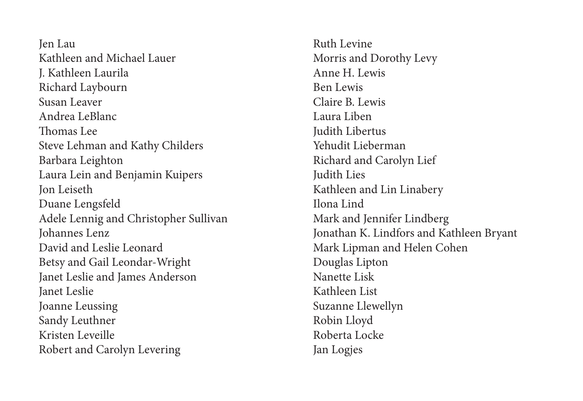Jen Lau Kathleen and Michael Lauer J. Kathleen Laurila Richard Laybourn Susan Leaver Andrea LeBlanc Thomas Lee Steve Lehman and Kathy Childers Barbara Leighton Laura Lein and Benjamin Kuipers Jon Leiseth Duane Lengsfeld Adele Lennig and Christopher Sullivan Johannes Lenz David and Leslie Leonard Betsy and Gail Leondar-Wright Janet Leslie and James Anderson Janet Leslie Joanne Leussing Sandy Leuthner Kristen Leveille Robert and Carolyn Levering

Ruth Levine Morris and Dorothy Levy Anne H. Lewis Ben Lewis Claire B. Lewis Laura Liben Judith Libertus Yehudit Lieberman Richard and Carolyn Lief Judith Lies Kathleen and Lin Linabery Ilona Lind Mark and Jennifer Lindberg Jonathan K. Lindfors and Kathleen Bryant Mark Lipman and Helen Cohen Douglas Lipton Nanette Lisk Kathleen List Suzanne Llewellyn Robin Lloyd Roberta Locke Jan Logjes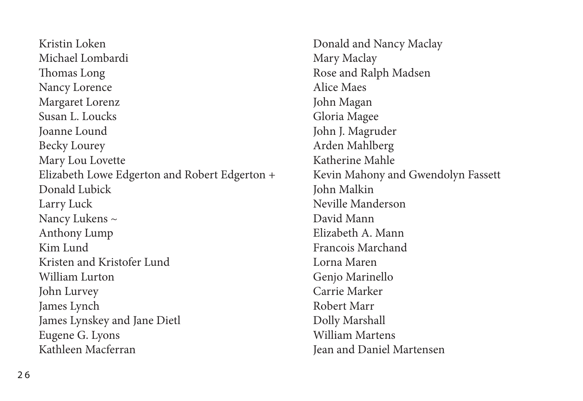Kristin Loken Michael Lombardi Thomas Long Nancy Lorence Margaret Lorenz Susan L. Loucks Joanne Lound Becky Lourey Mary Lou Lovette Elizabeth Lowe Edgerton and Robert Edgerton + Donald Lubick Larry Luck Nancy Lukens ~ Anthony Lump Kim Lund Kristen and Kristofer Lund William Lurton John Lurvey James Lynch James Lynskey and Jane Dietl Eugene G. Lyons Kathleen Macferran

Donald and Nancy Maclay Mary Maclay Rose and Ralph Madsen Alice Maes John Magan Gloria Magee John J. Magruder Arden Mahlberg Katherine Mahle Kevin Mahony and Gwendolyn Fassett John Malkin Neville Manderson David Mann Elizabeth A. Mann Francois Marchand Lorna Maren Genjo Marinello Carrie Marker Robert Marr Dolly Marshall William Martens Jean and Daniel Martensen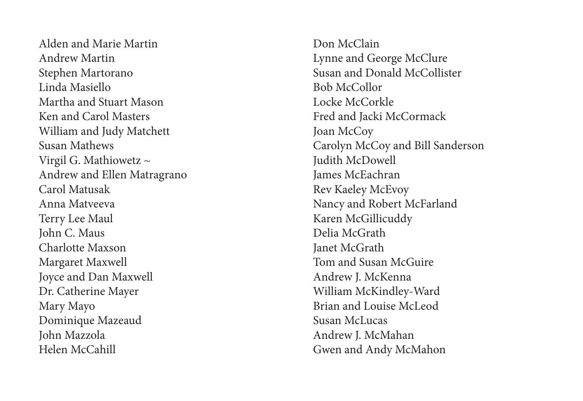Alden and Marie Martin Andrew Martin Stephen Martorano Linda Masiello Martha and Stuart Mason Ken and Carol Masters William and Judy Matchett Susan Mathews Virgil G. Mathiowetz ~ Andrew and Ellen Matragrano Carol Matusak Anna Matveeva Terry Lee Maul John C. Maus Charlotte Maxson Margaret Maxwell Joyce and Dan Maxwell Dr. Catherine Mayer Mary Mayo Dominique Mazeaud John Mazzola Helen McCahill

Don McClain Lynne and George McClure Susan and Donald McCollister Bob McCollor Locke McCorkle Fred and Jacki McCormack Joan McCoy Carolyn McCoy and Bill Sanderson Judith McDowell James McEachran Rev Kaeley McEvoy Nancy and Robert McFarland Karen McGillicuddy Delia McGrath Janet McGrath Tom and Susan McGuire Andrew J. McKenna William McKindley-Ward Brian and Louise McLeod Susan McLucas Andrew J. McMahan Gwen and Andy McMahon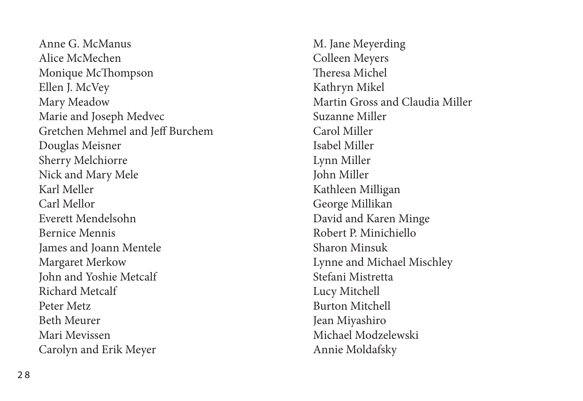Anne G. McManus Alice McMechen Monique McThompson Ellen J. McVey Mary Meadow Marie and Joseph Medvec Gretchen Mehmel and Jeff Burchem Douglas Meisner Sherry Melchiorre Nick and Mary Mele Karl Meller Carl Mellor Everett Mendelsohn Bernice Mennis James and Joann Mentele Margaret Merkow John and Yoshie Metcalf Richard Metcalf Peter Metz Beth Meurer Mari Mevissen Carolyn and Erik Meyer

M. Jane Meyerding Colleen Meyers Theresa Michel Kathryn Mikel Martin Gross and Claudia Miller Suzanne Miller Carol Miller Isabel Miller Lynn Miller John Miller Kathleen Milligan George Millikan David and Karen Minge Robert P. Minichiello Sharon Minsuk Lynne and Michael Mischley Stefani Mistretta Lucy Mitchell Burton Mitchell Jean Miyashiro Michael Modzelewski Annie Moldafsky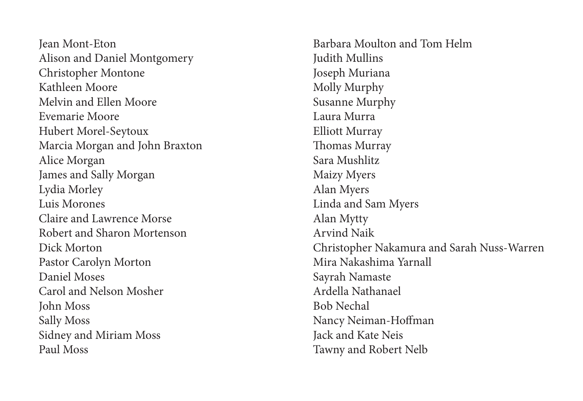Jean Mont-Eton Alison and Daniel Montgomery Christopher Montone Kathleen Moore Melvin and Ellen Moore Evemarie Moore Hubert Morel-Seytoux Marcia Morgan and John Braxton Alice Morgan James and Sally Morgan Lydia Morley Luis Morones Claire and Lawrence Morse Robert and Sharon Mortenson Dick Morton Pastor Carolyn Morton Daniel Moses Carol and Nelson Mosher John Moss Sally Moss Sidney and Miriam Moss Paul Moss

Barbara Moulton and Tom Helm Judith Mullins Joseph Muriana Molly Murphy Susanne Murphy Laura Murra Elliott Murray Thomas Murray Sara Mushlitz Maizy Myers Alan Myers Linda and Sam Myers Alan Mytty Arvind Naik Christopher Nakamura and Sarah Nuss-Warren Mira Nakashima Yarnall Sayrah Namaste Ardella Nathanael Bob Nechal Nancy Neiman-Hoffman Jack and Kate Neis Tawny and Robert Nelb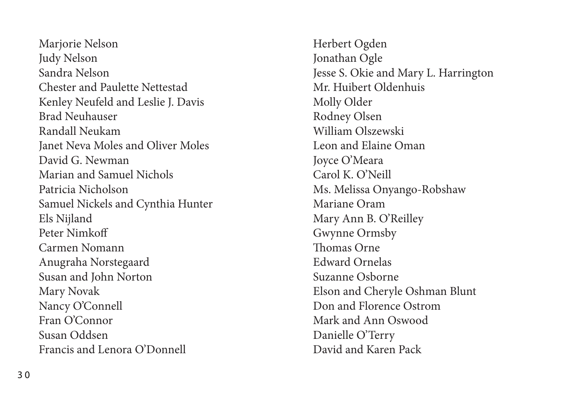Marjorie Nelson Judy Nelson Sandra Nelson Chester and Paulette Nettestad Kenley Neufeld and Leslie J. Davis Brad Neuhauser Randall Neukam Janet Neva Moles and Oliver Moles David G. Newman Marian and Samuel Nichols Patricia Nicholson Samuel Nickels and Cynthia Hunter Els Nijland Peter Nimkoff Carmen Nomann Anugraha Norstegaard Susan and John Norton Mary Novak Nancy O'Connell Fran O'Connor Susan Oddsen Francis and Lenora O'Donnell

Herbert Ogden Jonathan Ogle Jesse S. Okie and Mary L. Harrington Mr. Huibert Oldenhuis Molly Older Rodney Olsen William Olszewski Leon and Elaine Oman Joyce O'Meara Carol K. O'Neill Ms. Melissa Onyango-Robshaw Mariane Oram Mary Ann B. O'Reilley Gwynne Ormsby Thomas Orne Edward Ornelas Suzanne Osborne Elson and Cheryle Oshman Blunt Don and Florence Ostrom Mark and Ann Oswood Danielle O'Terry David and Karen Pack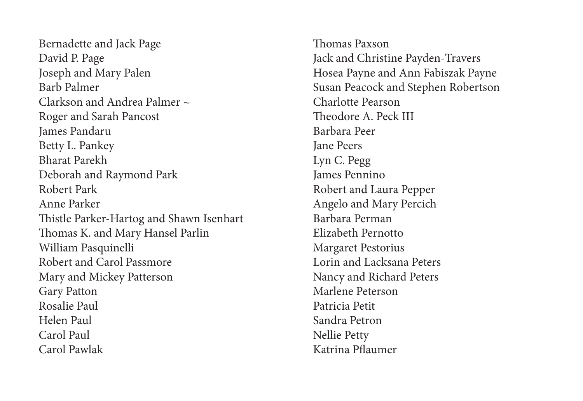Bernadette and Jack Page David P. Page Joseph and Mary Palen Barb Palmer Clarkson and Andrea Palmer  $\sim$ Roger and Sarah Pancost James Pandaru Betty L. Pankey Bharat Parekh Deborah and Raymond Park Robert Park Anne Parker Thistle Parker-Hartog and Shawn Isenhart Thomas K. and Mary Hansel Parlin William Pasquinelli Robert and Carol Passmore Mary and Mickey Patterson Gary Patton Rosalie Paul Helen Paul Carol Paul Carol Pawlak

Thomas Paxson Jack and Christine Payden-Travers Hosea Payne and Ann Fabiszak Payne Susan Peacock and Stephen Robertson Charlotte Pearson Theodore A. Peck III Barbara Peer Jane Peers Lyn C. Pegg James Pennino Robert and Laura Pepper Angelo and Mary Percich Barbara Perman Elizabeth Pernotto Margaret Pestorius Lorin and Lacksana Peters Nancy and Richard Peters Marlene Peterson Patricia Petit Sandra Petron Nellie Petty Katrina Pflaumer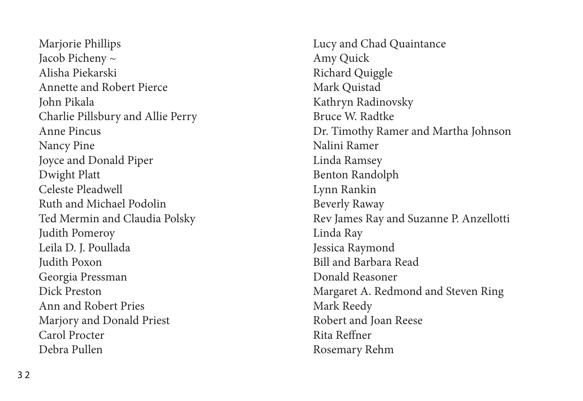Marjorie Phillips Jacob Picheny ~ Alisha Piekarski Annette and Robert Pierce John Pikala Charlie Pillsbury and Allie Perry Anne Pincus Nancy Pine Joyce and Donald Piper Dwight Platt Celeste Pleadwell Ruth and Michael Podolin Ted Mermin and Claudia Polsky Judith Pomeroy Leila D. J. Poullada Judith Poxon Georgia Pressman Dick Preston Ann and Robert Pries Marjory and Donald Priest Carol Procter Debra Pullen

Lucy and Chad Quaintance Amy Quick Richard Quiggle Mark Quistad Kathryn Radinovsky Bruce W. Radtke Dr. Timothy Ramer and Martha Johnson Nalini Ramer Linda Ramsey Benton Randolph Lynn Rankin Beverly Raway Rev James Ray and Suzanne P. Anzellotti Linda Ray Jessica Raymond Bill and Barbara Read Donald Reasoner Margaret A. Redmond and Steven Ring Mark Reedy Robert and Joan Reese Rita Reffner Rosemary Rehm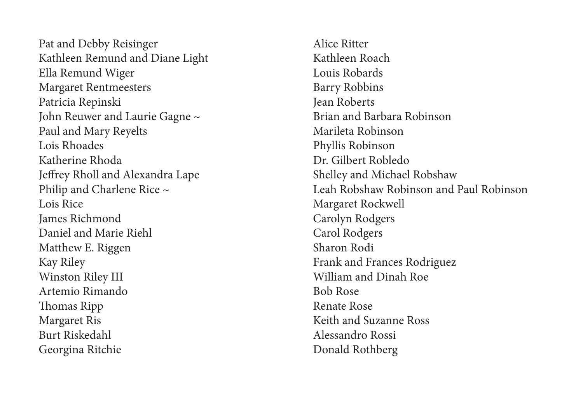Pat and Debby Reisinger Kathleen Remund and Diane Light Ella Remund Wiger Margaret Rentmeesters Patricia Repinski John Reuwer and Laurie Gagne ~ Paul and Mary Reyelts Lois Rhoades Katherine Rhoda Jeffrey Rholl and Alexandra Lape Philip and Charlene Rice ~ Lois Rice James Richmond Daniel and Marie Riehl Matthew E. Riggen Kay Riley Winston Riley III Artemio Rimando Thomas Ripp Margaret Ris Burt Riskedahl Georgina Ritchie

Alice Ritter Kathleen Roach Louis Robards Barry Robbins Jean Roberts Brian and Barbara Robinson Marileta Robinson Phyllis Robinson Dr. Gilbert Robledo Shelley and Michael Robshaw Leah Robshaw Robinson and Paul Robinson Margaret Rockwell Carolyn Rodgers Carol Rodgers Sharon Rodi Frank and Frances Rodriguez William and Dinah Roe Bob Rose Renate Rose Keith and Suzanne Ross Alessandro Rossi Donald Rothberg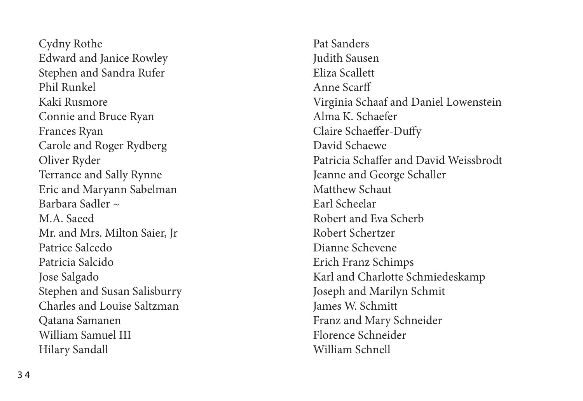Cydny Rothe Edward and Janice Rowley Stephen and Sandra Rufer Phil Runkel Kaki Rusmore Connie and Bruce Ryan Frances Ryan Carole and Roger Rydberg Oliver Ryder Terrance and Sally Rynne Eric and Maryann Sabelman Barbara Sadler  $\approx$ M.A. Saeed Mr. and Mrs. Milton Saier, Jr Patrice Salcedo Patricia Salcido Jose Salgado Stephen and Susan Salisburry Charles and Louise Saltzman Qatana Samanen William Samuel III Hilary Sandall

Pat Sanders Judith Sausen Eliza Scallett Anne Scarff Virginia Schaaf and Daniel Lowenstein Alma K. Schaefer Claire Schaeffer-Duffy David Schaewe Patricia Schaffer and David Weissbrodt Jeanne and George Schaller Matthew Schaut Earl Scheelar Robert and Eva Scherb Robert Schertzer Dianne Schevene Erich Franz Schimps Karl and Charlotte Schmiedeskamp Joseph and Marilyn Schmit James W. Schmitt Franz and Mary Schneider Florence Schneider William Schnell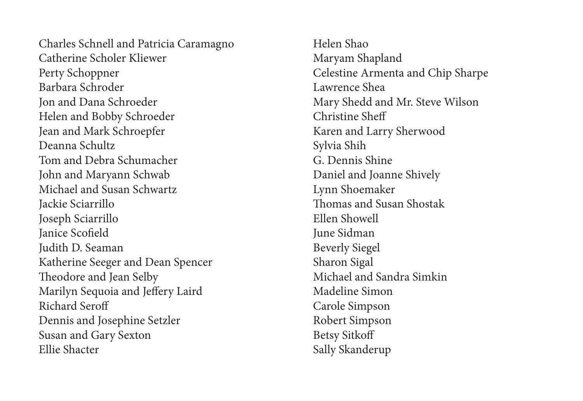Charles Schnell and Patricia Caramagno Catherine Scholer Kliewer Perty Schoppner Barbara Schroder Jon and Dana Schroeder Helen and Bobby Schroeder Jean and Mark Schroepfer Deanna Schultz Tom and Debra Schumacher John and Maryann Schwab Michael and Susan Schwartz Jackie Sciarrillo Joseph Sciarrillo Janice Scofield Judith D. Seaman Katherine Seeger and Dean Spencer Theodore and Jean Selby Marilyn Sequoia and Jeffery Laird Richard Seroff Dennis and Josephine Setzler Susan and Gary Sexton Ellie Shacter

Helen Shao Maryam Shapland Celestine Armenta and Chip Sharpe Lawrence Shea Mary Shedd and Mr. Steve Wilson Christine Sheff Karen and Larry Sherwood Sylvia Shih G. Dennis Shine Daniel and Joanne Shively Lynn Shoemaker Thomas and Susan Shostak Ellen Showell June Sidman Beverly Siegel Sharon Sigal Michael and Sandra Simkin Madeline Simon Carole Simpson Robert Simpson Betsy Sitkoff Sally Skanderup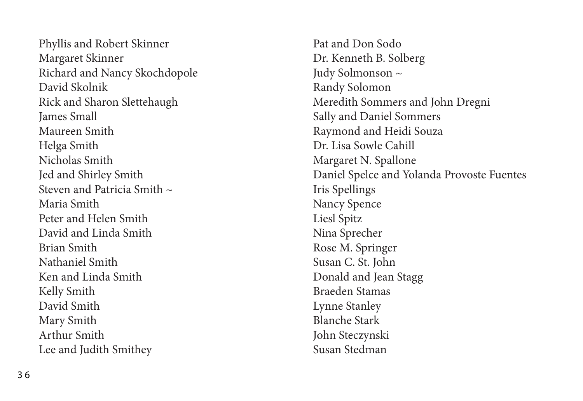Phyllis and Robert Skinner Margaret Skinner Richard and Nancy Skochdopole David Skolnik Rick and Sharon Slettehaugh James Small Maureen Smith Helga Smith Nicholas Smith Jed and Shirley Smith Steven and Patricia Smith  $\sim$ Maria Smith Peter and Helen Smith David and Linda Smith Brian Smith Nathaniel Smith Ken and Linda Smith Kelly Smith David Smith Mary Smith Arthur Smith Lee and Judith Smithey

Pat and Don Sodo Dr. Kenneth B. Solberg Judy Solmonson ~ Randy Solomon Meredith Sommers and John Dregni Sally and Daniel Sommers Raymond and Heidi Souza Dr. Lisa Sowle Cahill Margaret N. Spallone Daniel Spelce and Yolanda Provoste Fuentes Iris Spellings Nancy Spence Liesl Spitz Nina Sprecher Rose M. Springer Susan C. St. John Donald and Jean Stagg Braeden Stamas Lynne Stanley Blanche Stark John Steczynski Susan Stedman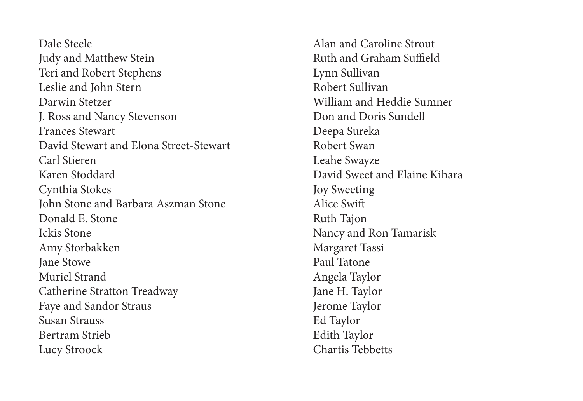Dale Steele Judy and Matthew Stein Teri and Robert Stephens Leslie and John Stern Darwin Stetzer J. Ross and Nancy Stevenson Frances Stewart David Stewart and Elona Street-Stewart Carl Stieren Karen Stoddard Cynthia Stokes John Stone and Barbara Aszman Stone Donald E. Stone Ickis Stone Amy Storbakken Jane Stowe Muriel Strand Catherine Stratton Treadway Faye and Sandor Straus Susan Strauss Bertram Strieb Lucy Stroock

Alan and Caroline Strout Ruth and Graham Suffield Lynn Sullivan Robert Sullivan William and Heddie Sumner Don and Doris Sundell Deepa Sureka Robert Swan Leahe Swayze David Sweet and Elaine Kihara Joy Sweeting Alice Swift Ruth Tajon Nancy and Ron Tamarisk Margaret Tassi Paul Tatone Angela Taylor Jane H. Taylor Jerome Taylor Ed Taylor Edith Taylor Chartis Tebbetts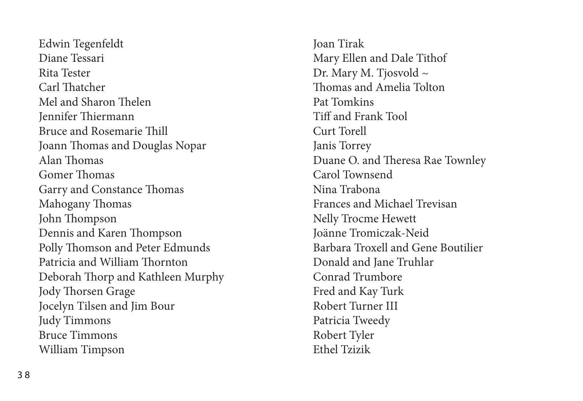Edwin Tegenfeldt Diane Tessari Rita Tester Carl Thatcher Mel and Sharon Thelen Jennifer Thiermann Bruce and Rosemarie Thill Joann Thomas and Douglas Nopar Alan Thomas Gomer Thomas Garry and Constance Thomas Mahogany Thomas John Thompson Dennis and Karen Thompson Polly Thomson and Peter Edmunds Patricia and William Thornton Deborah Thorp and Kathleen Murphy Jody Thorsen Grage Jocelyn Tilsen and Jim Bour Judy Timmons Bruce Timmons William Timpson

Joan Tirak Mary Ellen and Dale Tithof Dr. Mary M. Tjosvold ~ Thomas and Amelia Tolton Pat Tomkins Tiff and Frank Tool Curt Torell Janis Torrey Duane O. and Theresa Rae Townley Carol Townsend Nina Trabona Frances and Michael Trevisan Nelly Trocme Hewett Joänne Tromiczak-Neid Barbara Troxell and Gene Boutilier Donald and Jane Truhlar Conrad Trumbore Fred and Kay Turk Robert Turner III Patricia Tweedy Robert Tyler Ethel Tzizik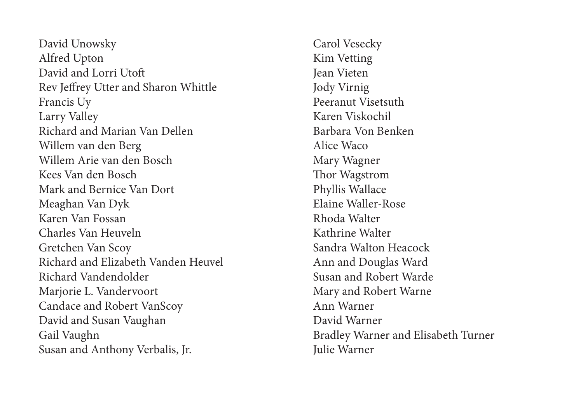David Unowsky Alfred Upton David and Lorri Utoft Rev Jeffrey Utter and Sharon Whittle Francis Uy Larry Valley Richard and Marian Van Dellen Willem van den Berg Willem Arie van den Bosch Kees Van den Bosch Mark and Bernice Van Dort Meaghan Van Dyk Karen Van Fossan Charles Van Heuveln Gretchen Van Scoy Richard and Elizabeth Vanden Heuvel Richard Vandendolder Marjorie L. Vandervoort Candace and Robert VanScoy David and Susan Vaughan Gail Vaughn Susan and Anthony Verbalis, Jr.

Carol Vesecky Kim Vetting Jean Vieten Jody Virnig Peeranut Visetsuth Karen Viskochil Barbara Von Benken Alice Waco Mary Wagner Thor Wagstrom Phyllis Wallace Elaine Waller-Rose Rhoda Walter Kathrine Walter Sandra Walton Heacock Ann and Douglas Ward Susan and Robert Warde Mary and Robert Warne Ann Warner David Warner Bradley Warner and Elisabeth Turner Julie Warner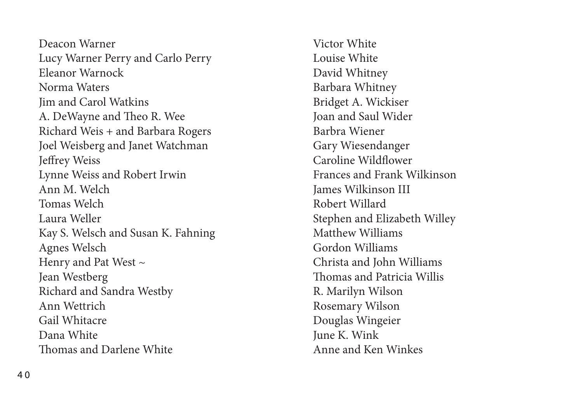Deacon Warner Lucy Warner Perry and Carlo Perry Eleanor Warnock Norma Waters Jim and Carol Watkins A. DeWayne and Theo R. Wee Richard Weis + and Barbara Rogers Joel Weisberg and Janet Watchman Jeffrey Weiss Lynne Weiss and Robert Irwin Ann M. Welch Tomas Welch Laura Weller Kay S. Welsch and Susan K. Fahning Agnes Welsch Henry and Pat West  $\sim$ Jean Westberg Richard and Sandra Westby Ann Wettrich Gail Whitacre Dana White Thomas and Darlene White

Victor White Louise White David Whitney Barbara Whitney Bridget A. Wickiser Joan and Saul Wider Barbra Wiener Gary Wiesendanger Caroline Wildflower Frances and Frank Wilkinson James Wilkinson III Robert Willard Stephen and Elizabeth Willey Matthew Williams Gordon Williams Christa and John Williams Thomas and Patricia Willis R. Marilyn Wilson Rosemary Wilson Douglas Wingeier June K. Wink Anne and Ken Winkes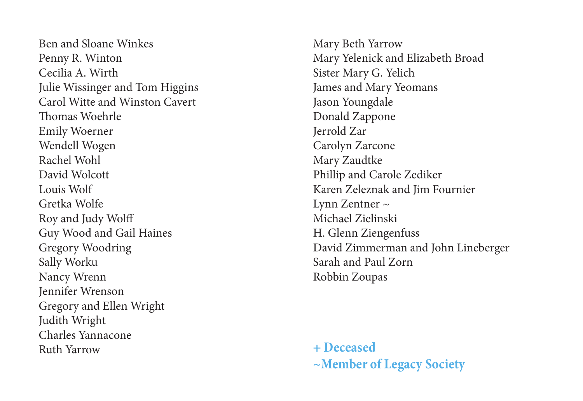Ben and Sloane Winkes Penny R. Winton Cecilia A. Wirth Julie Wissinger and Tom Higgins Carol Witte and Winston Cavert Thomas Woehrle Emily Woerner Wendell Wogen Rachel Wohl David Wolcott Louis Wolf Gretka Wolfe Roy and Judy Wolff Guy Wood and Gail Haines Gregory Woodring Sally Worku Nancy Wrenn Jennifer Wrenson Gregory and Ellen Wright Judith Wright Charles Yannacone Ruth Yarrow

Mary Beth Yarrow Mary Yelenick and Elizabeth Broad Sister Mary G. Yelich James and Mary Yeomans Jason Youngdale Donald Zappone Jerrold Zar Carolyn Zarcone Mary Zaudtke Phillip and Carole Zediker Karen Zeleznak and Jim Fournier Lynn Zentner ~ Michael Zielinski H. Glenn Ziengenfuss David Zimmerman and John Lineberger Sarah and Paul Zorn Robbin Zoupas

**+ Deceased ~Member of Legacy Society**